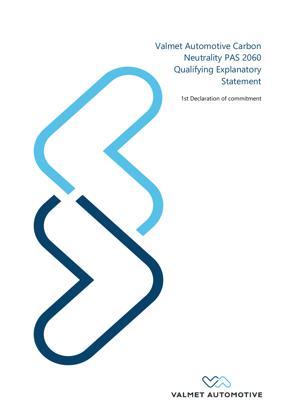Valmet Automotive Carbon Neutrality PAS 2060 Qualifying Explanatory Statement

1st Declaration of commitment



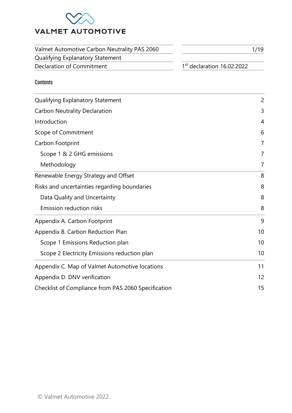

| Valmet Automotive Carbon Neutrality PAS 2060 | 1/19                         |
|----------------------------------------------|------------------------------|
| Qualifying Explanatory Statement             |                              |
| Declaration of Commitment                    | $1st$ declaration 16.02.2022 |

## Contents

| Qualifying Explanatory Statement                    | 2              |
|-----------------------------------------------------|----------------|
| <b>Carbon Neutrality Declaration</b>                | 3              |
| Introduction                                        | $\overline{4}$ |
| Scope of Commitment                                 | 6              |
| Carbon Footprint                                    | $\overline{7}$ |
| Scope 1 & 2 GHG emissions                           | 7              |
| Methodology                                         | 7              |
| Renewable Energy Strategy and Offset                | 8              |
| Risks and uncertainties regarding boundaries        | 8              |
| Data Quality and Uncertainty                        | 8              |
| <b>Emission reduction risks</b>                     | 8              |
| Appendix A. Carbon Footprint                        | 9              |
| Appendix B. Carbon Reduction Plan                   | 10             |
| Scope 1 Emissions Reduction plan                    | 10             |
| Scope 2 Electricity Emissions reduction plan        | 10             |
| Appendix C. Map of Valmet Automotive locations      | 11             |
| Appendix D. DNV verification                        | 12             |
| Checklist of Compliance from PAS 2060 Specification | 15             |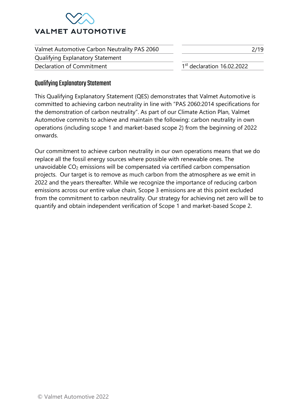

| Valmet Automotive Carbon Neutrality PAS 2060 | 2/19                         |
|----------------------------------------------|------------------------------|
| Qualifying Explanatory Statement             |                              |
| Declaration of Commitment                    | $1st$ declaration 16.02.2022 |

## <span id="page-2-0"></span>Qualifying Explanatory Statement

This Qualifying Explanatory Statement (QES) demonstrates that Valmet Automotive is committed to achieving carbon neutrality in line with "PAS 2060:2014 specifications for the demonstration of carbon neutrality". As part of our Climate Action Plan, Valmet Automotive commits to achieve and maintain the following: carbon neutrality in own operations (including scope 1 and market-based scope 2) from the beginning of 2022 onwards.

Our commitment to achieve carbon neutrality in our own operations means that we do replace all the fossil energy sources where possible with renewable ones. The unavoidable CO<sup>2</sup> emissions will be compensated via certified carbon compensation projects. Our target is to remove as much carbon from the atmosphere as we emit in 2022 and the years thereafter. While we recognize the importance of reducing carbon emissions across our entire value chain, Scope 3 emissions are at this point excluded from the commitment to carbon neutrality. Our strategy for achieving net zero will be to quantify and obtain independent verification of Scope 1 and market-based Scope 2.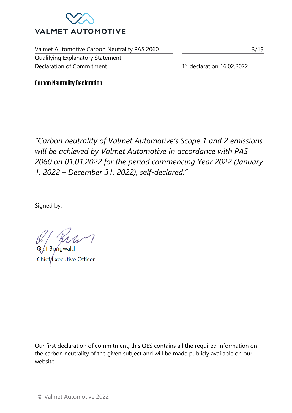

Valmet Automotive Carbon Neutrality PAS 2060 Qualifying Explanatory Statement Declaration of Commitment 1

1st declaration 16.02.2022

3/19

<span id="page-3-0"></span>Carbon Neutrality Declaration

*"Carbon neutrality of Valmet Automotive's Scope 1 and 2 emissions will be achieved by Valmet Automotive in accordance with PAS 2060 on 01.01.2022 for the period commencing Year 2022 (January 1, 2022 – December 31, 2022), self-declared."* 

Signed by:

Olaf Bongwald xecutive Officer

Our first declaration of commitment, this QES contains all the required information on the carbon neutrality of the given subject and will be made publicly available on our website.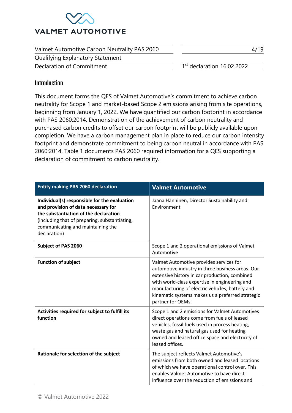

| Valmet Automotive Carbon Neutrality PAS 2060 | 4/19                                  |
|----------------------------------------------|---------------------------------------|
| Qualifying Explanatory Statement             |                                       |
| Declaration of Commitment                    | <sup>1st</sup> declaration 16.02.2022 |

## <span id="page-4-0"></span>**Introduction**

This document forms the QES of Valmet Automotive's commitment to achieve carbon neutrality for Scope 1 and market-based Scope 2 emissions arising from site operations, beginning from January 1, 2022. We have quantified our carbon footprint in accordance with PAS 2060:2014. Demonstration of the achievement of carbon neutrality and purchased carbon credits to offset our carbon footprint will be publicly available upon completion. We have a carbon management plan in place to reduce our carbon intensity footprint and demonstrate commitment to being carbon neutral in accordance with PAS 2060:2014. Table 1 documents PAS 2060 required information for a QES supporting a declaration of commitment to carbon neutrality.

| <b>Entity making PAS 2060 declaration</b>                                                                                                                                                                                          | <b>Valmet Automotive</b>                                                                                                                                                                                                                                                                                                  |
|------------------------------------------------------------------------------------------------------------------------------------------------------------------------------------------------------------------------------------|---------------------------------------------------------------------------------------------------------------------------------------------------------------------------------------------------------------------------------------------------------------------------------------------------------------------------|
| Individual(s) responsible for the evaluation<br>and provision of data necessary for<br>the substantiation of the declaration<br>(including that of preparing, substantiating,<br>communicating and maintaining the<br>declaration) | Jaana Hänninen, Director Sustainability and<br>Environment                                                                                                                                                                                                                                                                |
| <b>Subject of PAS 2060</b>                                                                                                                                                                                                         | Scope 1 and 2 operational emissions of Valmet<br>Automotive                                                                                                                                                                                                                                                               |
| <b>Function of subject</b>                                                                                                                                                                                                         | Valmet Automotive provides services for<br>automotive industry in three business areas. Our<br>extensive history in car production, combined<br>with world-class expertise in engineering and<br>manufacturing of electric vehicles, battery and<br>kinematic systems makes us a preferred strategic<br>partner for OEMs. |
| Activities required for subject to fulfill its<br>function                                                                                                                                                                         | Scope 1 and 2 emissions for Valmet Automotives<br>direct operations come from fuels of leased<br>vehicles, fossil fuels used in process heating,<br>waste gas and natural gas used for heating<br>owned and leased office space and electricity of<br>leased offices.                                                     |
| Rationale for selection of the subject                                                                                                                                                                                             | The subject reflects Valmet Automotive's<br>emissions from both owned and leased locations<br>of which we have operational control over. This<br>enables Valmet Automotive to have direct<br>influence over the reduction of emissions and                                                                                |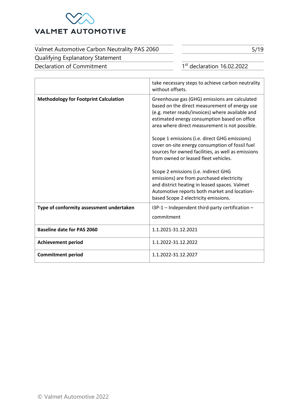

Qualifying Explanatory Statement

Declaration of Commitment 1

 $1<sup>st</sup>$  declaration 16.02.2022

5/19

|                                              | take necessary steps to achieve carbon neutrality<br>without offsets.                                                                                                                                                                                                                                |
|----------------------------------------------|------------------------------------------------------------------------------------------------------------------------------------------------------------------------------------------------------------------------------------------------------------------------------------------------------|
| <b>Methodology for Footprint Calculation</b> | Greenhouse gas (GHG) emissions are calculated<br>based on the direct measurement of energy use<br>(e.g. meter reads/invoices) where available and<br>estimated energy consumption based on office<br>area where direct measurement is not possible.<br>Scope 1 emissions (i.e. direct GHG emissions) |
|                                              | cover on-site energy consumption of fossil fuel<br>sources for owned facilities, as well as emissions<br>from owned or leased fleet vehicles.                                                                                                                                                        |
|                                              | Scope 2 emissions (i.e. indirect GHG<br>emissions) are from purchased electricity<br>and district heating in leased spaces. Valmet<br>Automotive reports both market and location-<br>based Scope 2 electricity emissions.                                                                           |
| Type of conformity assessment undertaken     | I3P-1 - Independent third-party certification -<br>commitment                                                                                                                                                                                                                                        |
| <b>Baseline date for PAS 2060</b>            | 1.1.2021-31.12.2021                                                                                                                                                                                                                                                                                  |
| <b>Achievement period</b>                    | 1.1.2022-31.12.2022                                                                                                                                                                                                                                                                                  |
| <b>Commitment period</b>                     | 1.1.2022-31.12.2027                                                                                                                                                                                                                                                                                  |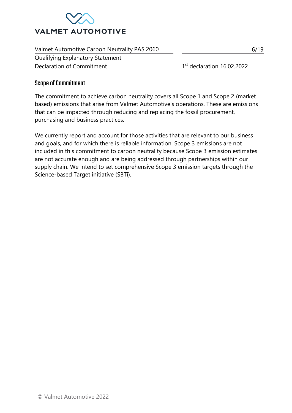

| Valmet Automotive Carbon Neutrality PAS 2060 | 6/19                         |
|----------------------------------------------|------------------------------|
| Qualifying Explanatory Statement             |                              |
| Declaration of Commitment                    | $1st$ declaration 16.02.2022 |

## <span id="page-6-0"></span>Scope of Commitment

The commitment to achieve carbon neutrality covers all Scope 1 and Scope 2 (market based) emissions that arise from Valmet Automotive's operations. These are emissions that can be impacted through reducing and replacing the fossil procurement, purchasing and business practices.

We currently report and account for those activities that are relevant to our business and goals, and for which there is reliable information. Scope 3 emissions are not included in this commitment to carbon neutrality because Scope 3 emission estimates are not accurate enough and are being addressed through partnerships within our supply chain. We intend to set comprehensive Scope 3 emission targets through the Science-based Target initiative (SBTi).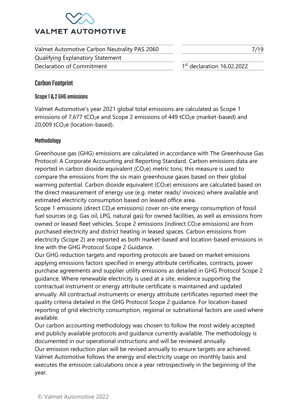

Valmet Automotive Carbon Neutrality PAS 2060 Qualifying Explanatory Statement Declaration of Commitment 1

 $1<sup>st</sup>$  declaration 16.02.2022

7/19

## <span id="page-7-0"></span>Carbon Footprint

## <span id="page-7-1"></span>Scope 1 & 2 GHG emissions

Valmet Automotive's year 2021 global total emissions are calculated as Scope 1 emissions of  $7.677$  tCO<sub>2</sub>e and Scope 2 emissions of 449 tCO<sub>2</sub>e (market-based) and 20,009 tCO2e (location-based).

## <span id="page-7-2"></span>Methodology

Greenhouse gas (GHG) emissions are calculated in accordance with The Greenhouse Gas Protocol: A Corporate Accounting and Reporting Standard. Carbon emissions data are reported in carbon dioxide equivalent  $(CO_2e)$  metric tons; this measure is used to compare the emissions from the six main greenhouse gases based on their global warming potential. Carbon dioxide equivalent (CO<sub>2</sub>e) emissions are calculated based on the direct measurement of energy use (e.g. meter reads/ invoices) where available and estimated electricity consumption based on leased office area.

Scope 1 emissions (direct CO<sub>2</sub>e emissions) cover on-site energy consumption of fossil fuel sources (e.g. Gas oil, LPG, natural gas) for owned facilities, as well as emissions from owned or leased fleet vehicles. Scope 2 emissions (indirect CO<sub>2</sub>e emissions) are from purchased electricity and district heating in leased spaces. Carbon emissions from electricity (Scope 2) are reported as both market-based and location-based emissions in line with the GHG Protocol Scope 2 Guidance.

Our GHG reduction targets and reporting protocols are based on market emissions applying emissions factors specified in energy attribute certificates, contracts, power purchase agreements and supplier utility emissions as detailed in GHG Protocol Scope 2 guidance. Where renewable electricity is used at a site, evidence supporting the contractual instrument or energy attribute certificate is maintained and updated annually. All contractual instruments or energy attribute certificates reported meet the quality criteria detailed in the GHG Protocol Scope 2 guidance. For location-based reporting of grid electricity consumption, regional or subnational factors are used where available.

Our carbon accounting methodology was chosen to follow the most widely accepted and publicly available protocols and guidance currently available. The methodology is documented in our operational instructions and will be reviewed annually.

Our emission reduction plan will be revised annually to ensure targets are achieved. Valmet Automotive follows the energy and electricity usage on monthly basis and executes the emission calculations once a year retrospectively in the beginning of the year.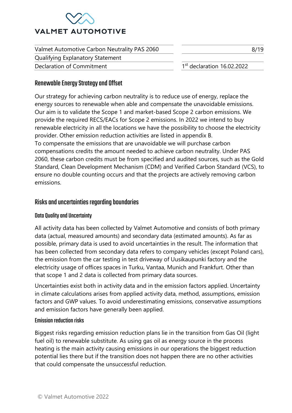

| Valmet Automotive Carbon Neutrality PAS 2060 | 8/19                                   |
|----------------------------------------------|----------------------------------------|
| <b>Qualifying Explanatory Statement</b>      |                                        |
| Declaration of Commitment                    | 1 <sup>st</sup> declaration 16.02.2022 |

## <span id="page-8-0"></span>Renewable Energy Strategyand Offset

Our strategy for achieving carbon neutrality is to reduce use of energy, replace the energy sources to renewable when able and compensate the unavoidable emissions. Our aim is to validate the Scope 1 and market-based Scope 2 carbon emissions. We provide the required RECS/EACs for Scope 2 emissions. In 2022 we intend to buy renewable electricity in all the locations we have the possibility to choose the electricity provider. Other emission reduction activities are listed in appendix B. To compensate the emissions that are unavoidable we will purchase carbon compensations credits the amount needed to achieve carbon neutrality. Under PAS 2060, these carbon credits must be from specified and audited sources, such as the Gold Standard, Clean Development Mechanism (CDM) and Verified Carbon Standard (VCS), to ensure no double counting occurs and that the projects are actively removing carbon emissions.

## <span id="page-8-1"></span>Risks and uncertainties regarding boundaries

## <span id="page-8-2"></span>Data Quality and Uncertainty

All activity data has been collected by Valmet Automotive and consists of both primary data (actual, measured amounts) and secondary data (estimated amounts). As far as possible, primary data is used to avoid uncertainties in the result. The information that has been collected from secondary data refers to company vehicles (except Poland cars), the emission from the car testing in test driveway of Uusikaupunki factory and the electricity usage of offices spaces in Turku, Vantaa, Munich and Frankfurt. Other than that scope 1 and 2 data is collected from primary data sources.

Uncertainties exist both in activity data and in the emission factors applied. Uncertainty in climate calculations arises from applied activity data, method, assumptions, emission factors and GWP values. To avoid underestimating emissions, conservative assumptions and emission factors have generally been applied.

## <span id="page-8-3"></span>Emission reduction risks

Biggest risks regarding emission reduction plans lie in the transition from Gas Oil (light fuel oil) to renewable substitute. As using gas oil as energy source in the process heating is the main activity causing emissions in our operations the biggest reduction potential lies there but if the transition does not happen there are no other activities that could compensate the unsuccessful reduction.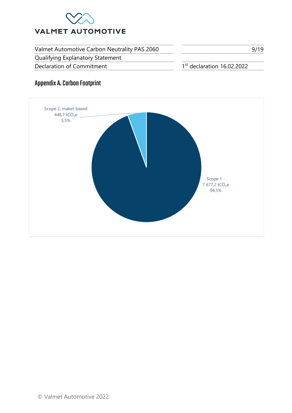

Qualifying Explanatory Statement

Declaration of Commitment 1

1st declaration 16.02.2022

9/19

# <span id="page-9-0"></span>Appendix A. Carbon Footprint

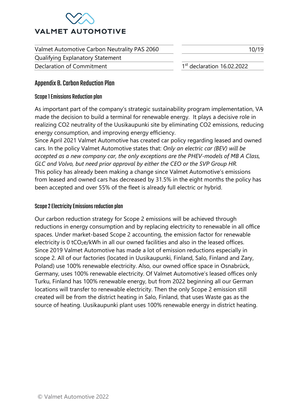

Valmet Automotive Carbon Neutrality PAS 2060 Qualifying Explanatory Statement 10/19 Declaration of Commitment 1  $1<sup>st</sup>$  declaration 16.02.2022

## <span id="page-10-0"></span>Appendix B. Carbon Reduction Plan

## <span id="page-10-1"></span>Scope 1 Emissions Reduction plan

As important part of the company's strategic sustainability program implementation, VA made the decision to build a terminal for renewable energy. It plays a decisive role in realizing CO2 neutrality of the Uusikaupunki site by eliminating CO2 emissions, reducing energy consumption, and improving energy efficiency.

Since April 2021 Valmet Automotive has created car policy regarding leased and owned cars. In the policy Valmet Automotive states that: *Only an electric car (BEV) will be accepted as a new company car, the only exceptions are the PHEV-models of MB A Class, GLC and Volvo, but need prior approval by either the CEO or the SVP Group HR.* This policy has already been making a change since Valmet Automotive's emissions from leased and owned cars has decreased by 31.5% in the eight months the policy has been accepted and over 55% of the fleet is already full electric or hybrid.

## <span id="page-10-2"></span>Scope 2 Electricity Emissions reduction plan

Our carbon reduction strategy for Scope 2 emissions will be achieved through reductions in energy consumption and by replacing electricity to renewable in all office spaces. Under market-based Scope 2 accounting, the emission factor for renewable electricity is  $0 \text{ tCO}_2$ e/kWh in all our owned facilities and also in the leased offices. Since 2019 Valmet Automotive has made a lot of emission reductions especially in scope 2. All of our factories (located in Uusikaupunki, Finland, Salo, Finland and Zary, Poland) use 100% renewable electricity. Also, our owned office space in Osnabrück, Germany, uses 100% renewable electricity. Of Valmet Automotive's leased offices only Turku, Finland has 100% renewable energy, but from 2022 beginning all our German locations will transfer to renewable electricity. Then the only Scope 2 emission still created will be from the district heating in Salo, Finland, that uses Waste gas as the source of heating. Uusikaupunki plant uses 100% renewable energy in district heating.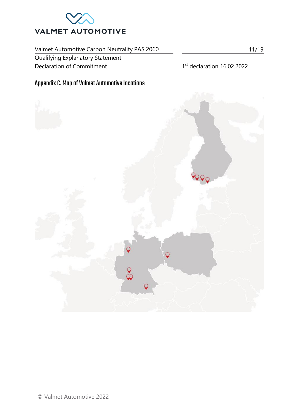

Qualifying Explanatory Statement

Declaration of Commitment 1

 $1<sup>st</sup>$  declaration 16.02.2022

# <span id="page-11-0"></span>Appendix C. Map of Valmet Automotive locations



11/19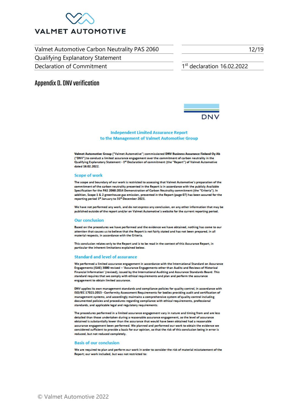

Qualifying Explanatory Statement

Declaration of Commitment 1

 $1<sup>st</sup>$  declaration 16.02.2022

12/19

## <span id="page-12-0"></span>Appendix D. DNV verification



### **Independent Limited Assurance Report** to the Management of Valmet Automotive Group

Valmet Automotive Group ("Valmet Automotive") commissioned DNV Business Assurance Finland Oy Ab ("DNV") to conduct a limited assurance engagement over the commitment of carbon neutrality in the Qualifying Explanatory Statement - 1<sup>st</sup> Declaration of commitment (the "Report") of Valmet Automotive dated 16.02.2022

#### Scope of work

The scope and boundary of our work is restricted to assessing that Valmet Automotive's preparation of the commitment of the carbon neutrality presented in the Report is in accordance with the publicly Available Soecification for the PAS 2060:2014 Demonstration of Carbon Neutrality commitment (the "Criteria"). In addition, Scope 1 & 2 greenhouse gas emission, presented in the Report (page 07) has been assured for the reporting period 1<sup>#</sup> January to 31<sup>#</sup> December 2021.

We have not performed any work, and do not express any conclusion, on any other information that may be published outside of the report and/or on Valmet Automotive's website for the current reporting period.

#### **Our conclusion**

Based on the procedures we have performed and the evidence we have obtained, nothing has come to our attention that causes us to believe that the Report is not fairly stated and has not been prepared, in all material respects, in accordance with the Criteria.

This conclusion relates only to the Report and is to be read in the context of this Assurance Report, in particular the inherent limitations explained below.

#### **Standard and level of assurance**

We performed a limited assurance engagement in accordance with the International Standard on Assurance Engagements (ISAE) 3000 revised - 'Assurance Engagements other than Audits and Reviews of Historical Financial Information' (revised), issued by the International Auditing and Assurance Standards Board. This standard requires that we comply with ethical requirements and plan and perform the assurance encagement to obtain limited assurance.

DNV applies its own management standards and compliance policies for quality control, in accordance with ISO/IEC 17021:2015 - Conformity Assessment Requirements for bodies providing audit and certification of management systems, and accordingly maintains a comprehensive system of quality control including documented policies and procedures regarding compliance with ethical requirements, professional standards, and applicable legal and regulatory requirements.

The procedures performed in a limited assurance engagement vary in nature and timing from and are less detailed than those undertaken during a reasonable assurance engagement, so the level of assurance obtained is substantially lower than the assurance that would have been obtained had a reasonable assurance engagement been performed. We planned and performed our work to obtain the evidence we considered sufficient to provide a basis for our opinion, so that the risk of this conclusion being in error is reduced, but not reduced completely.

#### **Basis of our conclusion**

We are required to plan and perform our work in order to consider the risk of material misstatement of the Report; our work included, but was not restricted to: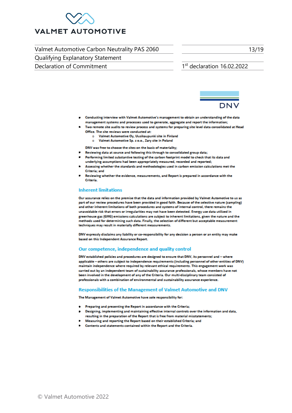

Qualifying Explanatory Statement

Declaration of Commitment

13/19

### $1<sup>st</sup>$  declaration 16.02.2022



- Conducting interview with Valmet Automotive's management to obtain an understanding of the data management systems and processes used to generate, aggregate and report the information;
- Two remote site audits to review process and systems for preparing site level data consolidated at Head Office. The site reviews were conducted at:
	- o Valmet Automotive Oy, Uusikaupunki site in Finland
		- Valmet Automotive Sp. z o.o., Zary site in Poland  $\bullet$

DNV was free to choose the sites on the basis of materiality;

- Reviewing data at source and following this through to consolidated group data;
- Performing limited substantive testing of the carbon footprint model to check that its data and underlying assumptions had been appropriately measured, recorded and reported;
- Assessing whether the standards and methodologies used in carbon emission calculations met the Criteria; and
- Reviewing whether the evidence, measurements, and Report is prepared in accordance with the Criteria.

### **Inherent limitations**

Our assurance relies on the premise that the data and information provided by Valmet Automotive to us as part of our review procedures have been provided in good faith. Because of the selective nature (sampling) and other inherent limitations of both procedures and systems of internal control, there remains the unavoidable risk that errors or irregularities may not have been detected. Energy use data utilized in greenhouse gas (GHG) emissions calculations are subject to inherent limitations, given the nature and the methods used for determining such data. Finally, the selection of different but acceptable measurement techniques may result in materially different measurements.

DNV expressly disclaims any liability or co-responsibility for any decision a person or an entity may make based on this Independent Assurance Report.

### Our competence, independence and quality control

DNV established policies and procedures are designed to ensure that DNV, its personnel and - where applicable - others are subject to independence requirements (including personnel of other entities of DNV) maintain independence where required by relevant ethical requirements. This engagement work was carried out by an independent team of sustainability assurance professionals, whose members have not been involved in the development of any of the Criteria. Our multi-disciplinary team consisted of professionals with a combination of environmental and sustainability assurance experience.

### Responsibilities of the Management of Valmet Automotive and DNV

The Management of Valmet Automotive have sole responsibility for:

- Preparing and presenting the Report in accordance with the Criteria;
- Designing, implementing and maintaining effective internal controls over the information and data, resulting in the preparation of the Report that is free from material misstatements;
- Measuring and reporting the Report based on their established Criteria; and
- Contents and statements contained within the Report and the Criteria.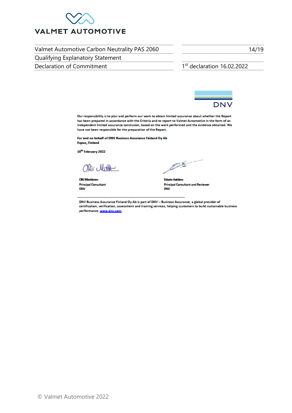

Qualifying Explanatory Statement

Declaration of Commitment

1st declaration 16.02.2022



Our responsibility is to plan and perform our work to obtain limited assurance about whether the Report has been prepared in accordance with the Criteria and to report to Valmet Automotive in the form of an independent limited assurance conclusion, based on the work performed and the evidence obtained. We have not been responsible for the preparation of the Report.

For and on behalf of DNV Business Assurance Finland Oy Ab Espoo, Finland

16<sup>th</sup> February 2022

 $\omega$ 

**Olli Miettinen Principal Consultant DNV** 

PARTICULAR

**Edwin Aniders Principal Consultant and Reviewer DNV** 

DNV Business Assurance Finland Oy Ab is part of DNV - Business Assurance, a global provider of certification, verification, assessment and training services, helping customers to build sustainable business performance. www.dnv.com

14/19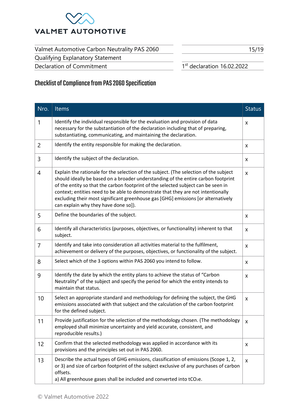

Qualifying Explanatory Statement Declaration of Commitment

15/19

1st declaration 16.02.2022

# <span id="page-15-0"></span>Checklistof Compliance from PAS 2060 Specification

| Nro.           | <b>Items</b>                                                                                                                                                                                                                                                                                                                                                                                                                                                                     | <b>Status</b>      |
|----------------|----------------------------------------------------------------------------------------------------------------------------------------------------------------------------------------------------------------------------------------------------------------------------------------------------------------------------------------------------------------------------------------------------------------------------------------------------------------------------------|--------------------|
| 1              | Identify the individual responsible for the evaluation and provision of data<br>necessary for the substantiation of the declaration including that of preparing,<br>substantiating, communicating, and maintaining the declaration.                                                                                                                                                                                                                                              | X                  |
| 2              | Identify the entity responsible for making the declaration.                                                                                                                                                                                                                                                                                                                                                                                                                      | X                  |
| 3              | Identify the subject of the declaration.                                                                                                                                                                                                                                                                                                                                                                                                                                         | X                  |
| 4              | Explain the rationale for the selection of the subject. (The selection of the subject<br>should ideally be based on a broader understanding of the entire carbon footprint<br>of the entity so that the carbon footprint of the selected subject can be seen in<br>context; entities need to be able to demonstrate that they are not intentionally<br>excluding their most significant greenhouse gas [GHG] emissions [or alternatively<br>can explain why they have done so]). | $\mathsf{x}$       |
| 5              | Define the boundaries of the subject.                                                                                                                                                                                                                                                                                                                                                                                                                                            | X                  |
| 6              | Identify all characteristics (purposes, objectives, or functionality) inherent to that<br>subject.                                                                                                                                                                                                                                                                                                                                                                               | X                  |
| $\overline{7}$ | Identify and take into consideration all activities material to the fulfilment,<br>achievement or delivery of the purposes, objectives, or functionality of the subject.                                                                                                                                                                                                                                                                                                         | X                  |
| 8              | Select which of the 3 options within PAS 2060 you intend to follow.                                                                                                                                                                                                                                                                                                                                                                                                              | X                  |
| 9              | Identify the date by which the entity plans to achieve the status of "Carbon<br>Neutrality" of the subject and specify the period for which the entity intends to<br>maintain that status.                                                                                                                                                                                                                                                                                       | X                  |
| 10             | Select an appropriate standard and methodology for defining the subject, the GHG<br>emissions associated with that subject and the calculation of the carbon footprint<br>for the defined subject.                                                                                                                                                                                                                                                                               | $\pmb{\mathsf{X}}$ |
| 11             | Provide justification for the selection of the methodology chosen. (The methodology<br>employed shall minimize uncertainty and yield accurate, consistent, and<br>reproducible results.)                                                                                                                                                                                                                                                                                         | X.                 |
| 12             | Confirm that the selected methodology was applied in accordance with its<br>provisions and the principles set out in PAS 2060.                                                                                                                                                                                                                                                                                                                                                   | X                  |
| 13             | Describe the actual types of GHG emissions, classification of emissions (Scope 1, 2,<br>or 3) and size of carbon footprint of the subject exclusive of any purchases of carbon<br>offsets.<br>a) All greenhouse gases shall be included and converted into tCO2e.                                                                                                                                                                                                                | $\mathsf{x}$       |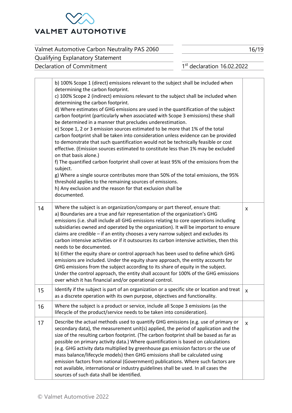

16/19

Qualifying Explanatory Statement Declaration of Commitment 1

 $1<sup>st</sup>$  declaration 16.02.2022

|    | b) 100% Scope 1 (direct) emissions relevant to the subject shall be included when<br>determining the carbon footprint.<br>c) 100% Scope 2 (indirect) emissions relevant to the subject shall be included when<br>determining the carbon footprint.<br>d) Where estimates of GHG emissions are used in the quantification of the subject<br>carbon footprint (particularly when associated with Scope 3 emissions) these shall<br>be determined in a manner that precludes underestimation.<br>e) Scope 1, 2 or 3 emission sources estimated to be more that 1% of the total<br>carbon footprint shall be taken into consideration unless evidence can be provided<br>to demonstrate that such quantification would not be technically feasible or cost<br>effective. (Emission sources estimated to constitute less than 1% may be excluded<br>on that basis alone.)<br>f) The quantified carbon footprint shall cover at least 95% of the emissions from the<br>subject.<br>g) Where a single source contributes more than 50% of the total emissions, the 95%<br>threshold applies to the remaining sources of emissions.<br>h) Any exclusion and the reason for that exclusion shall be<br>documented. |              |
|----|-----------------------------------------------------------------------------------------------------------------------------------------------------------------------------------------------------------------------------------------------------------------------------------------------------------------------------------------------------------------------------------------------------------------------------------------------------------------------------------------------------------------------------------------------------------------------------------------------------------------------------------------------------------------------------------------------------------------------------------------------------------------------------------------------------------------------------------------------------------------------------------------------------------------------------------------------------------------------------------------------------------------------------------------------------------------------------------------------------------------------------------------------------------------------------------------------------------|--------------|
| 14 | Where the subject is an organization/company or part thereof, ensure that:<br>a) Boundaries are a true and fair representation of the organization's GHG<br>emissions (i.e. shall include all GHG emissions relating to core operations including<br>subsidiaries owned and operated by the organization). It will be important to ensure<br>claims are credible - if an entity chooses a very narrow subject and excludes its<br>carbon intensive activities or if it outsources its carbon intensive activities, then this<br>needs to be documented.<br>b) Either the equity share or control approach has been used to define which GHG<br>emissions are included. Under the equity share approach, the entity accounts for<br>GHG emissions from the subject according to its share of equity in the subject.<br>Under the control approach, the entity shall account for 100% of the GHG emissions<br>over which it has financial and/or operational control.                                                                                                                                                                                                                                       | X            |
| 15 | Identify if the subject is part of an organization or a specific site or location and treat<br>as a discrete operation with its own purpose, objectives and functionality.                                                                                                                                                                                                                                                                                                                                                                                                                                                                                                                                                                                                                                                                                                                                                                                                                                                                                                                                                                                                                                | $\mathsf{X}$ |
| 16 | Where the subject is a product or service, include all Scope 3 emissions (as the<br>lifecycle of the product/service needs to be taken into consideration).                                                                                                                                                                                                                                                                                                                                                                                                                                                                                                                                                                                                                                                                                                                                                                                                                                                                                                                                                                                                                                               |              |
| 17 | Describe the actual methods used to quantify GHG emissions (e.g. use of primary or<br>secondary data), the measurement unit(s) applied, the period of application and the<br>size of the resulting carbon footprint. (The carbon footprint shall be based as far as<br>possible on primary activity data.) Where quantification is based on calculations<br>(e.g. GHG activity data multiplied by greenhouse gas emission factors or the use of<br>mass balance/lifecycle models) then GHG emissions shall be calculated using<br>emission factors from national (Government) publications. Where such factors are<br>not available, international or industry guidelines shall be used. In all cases the<br>sources of such data shall be identified.                                                                                                                                                                                                                                                                                                                                                                                                                                                    | X            |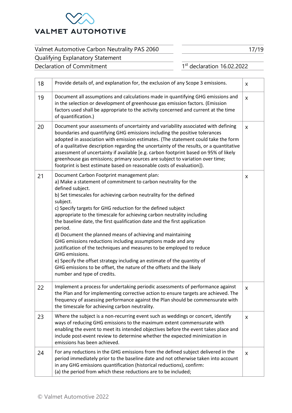

17/19

Qualifying Explanatory Statement Declaration of Commitment 1

 $1<sup>st</sup>$  declaration 16.02.2022

| 18 | Provide details of, and explanation for, the exclusion of any Scope 3 emissions.                                                                                                                                                                                                                                                                                                                                                                                                                                                                                                                                                                                                                                                                                                                                                                              | X |
|----|---------------------------------------------------------------------------------------------------------------------------------------------------------------------------------------------------------------------------------------------------------------------------------------------------------------------------------------------------------------------------------------------------------------------------------------------------------------------------------------------------------------------------------------------------------------------------------------------------------------------------------------------------------------------------------------------------------------------------------------------------------------------------------------------------------------------------------------------------------------|---|
| 19 | Document all assumptions and calculations made in quantifying GHG emissions and<br>in the selection or development of greenhouse gas emission factors. (Emission<br>factors used shall be appropriate to the activity concerned and current at the time<br>of quantification.)                                                                                                                                                                                                                                                                                                                                                                                                                                                                                                                                                                                | X |
| 20 | Document your assessments of uncertainty and variability associated with defining<br>boundaries and quantifying GHG emissions including the positive tolerances<br>adopted in association with emission estimates. (The statement could take the form<br>of a qualitative description regarding the uncertainty of the results, or a quantitative<br>assessment of uncertainty if available [e.g. carbon footprint based on 95% of likely<br>greenhouse gas emissions; primary sources are subject to variation over time;<br>footprint is best estimate based on reasonable costs of evaluation]).                                                                                                                                                                                                                                                           | X |
| 21 | Document Carbon Footprint management plan:<br>a) Make a statement of commitment to carbon neutrality for the<br>defined subject.<br>b) Set timescales for achieving carbon neutrality for the defined<br>subject.<br>c) Specify targets for GHG reduction for the defined subject<br>appropriate to the timescale for achieving carbon neutrality including<br>the baseline date, the first qualification date and the first application<br>period.<br>d) Document the planned means of achieving and maintaining<br>GHG emissions reductions including assumptions made and any<br>justification of the techniques and measures to be employed to reduce<br>GHG emissions.<br>e) Specify the offset strategy including an estimate of the quantity of<br>GHG emissions to be offset, the nature of the offsets and the likely<br>number and type of credits. | X |
| 22 | Implement a process for undertaking periodic assessments of performance against<br>the Plan and for implementing corrective action to ensure targets are achieved. The<br>frequency of assessing performance against the Plan should be commensurate with<br>the timescale for achieving carbon neutrality.                                                                                                                                                                                                                                                                                                                                                                                                                                                                                                                                                   | X |
| 23 | Where the subject is a non-recurring event such as weddings or concert, identify<br>ways of reducing GHG emissions to the maximum extent commensurate with<br>enabling the event to meet its intended objectives before the event takes place and<br>include post-event review to determine whether the expected minimization in<br>emissions has been achieved.                                                                                                                                                                                                                                                                                                                                                                                                                                                                                              | X |
| 24 | For any reductions in the GHG emissions from the defined subject delivered in the<br>period immediately prior to the baseline date and not otherwise taken into account<br>in any GHG emissions quantification (historical reductions), confirm:<br>(a) the period from which these reductions are to be included;                                                                                                                                                                                                                                                                                                                                                                                                                                                                                                                                            | X |